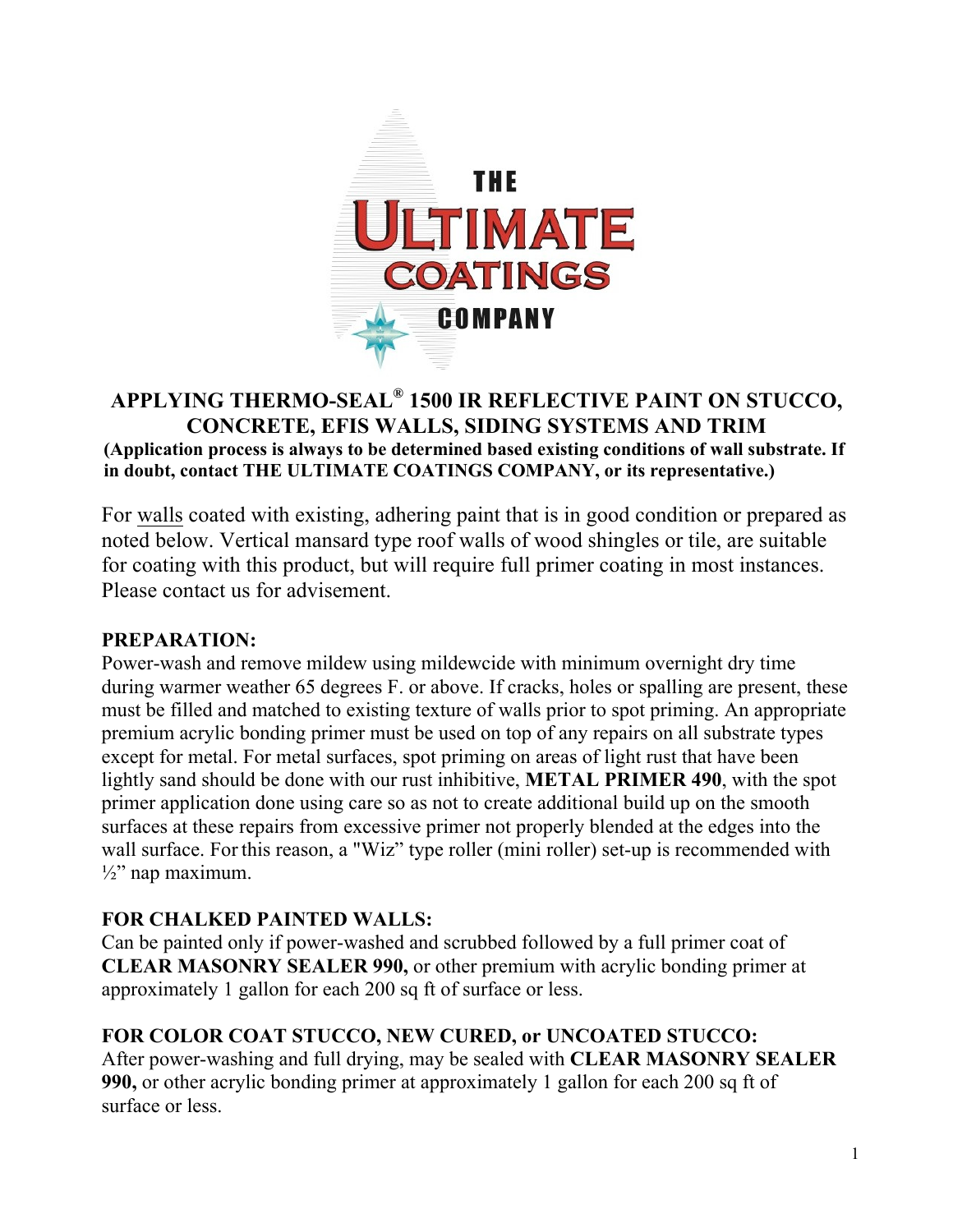

#### **APPLYING THERMO-SEAL® 1500 IR REFLECTIVE PAINT ON STUCCO, CONCRETE, EFIS WALLS, SIDING SYSTEMS AND TRIM (Application process is always to be determined based existing conditions of wall substrate. If in doubt, contact THE ULTIMATE COATINGS COMPANY, or its representative.)**

For walls coated with existing, adhering paint that is in good condition or prepared as noted below. Vertical mansard type roof walls of wood shingles or tile, are suitable for coating with this product, but will require full primer coating in most instances. Please contact us for advisement.

#### **PREPARATION:**

Power-wash and remove mildew using mildewcide with minimum overnight dry time during warmer weather 65 degrees F. or above. If cracks, holes or spalling are present, these must be filled and matched to existing texture of walls prior to spot priming. An appropriate premium acrylic bonding primer must be used on top of any repairs on all substrate types except for metal. For metal surfaces, spot priming on areas of light rust that have been lightly sand should be done with our rust inhibitive, **METAL PRIMER 490**, with the spot primer application done using care so as not to create additional build up on the smooth surfaces at these repairs from excessive primer not properly blended at the edges into the wall surface. For this reason, a "Wiz" type roller (mini roller) set-up is recommended with  $\frac{1}{2}$ " nap maximum.

#### **FOR CHALKED PAINTED WALLS:**

Can be painted only if power-washed and scrubbed followed by a full primer coat of **CLEAR MASONRY SEALER 990,** or other premium with acrylic bonding primer at approximately 1 gallon for each 200 sq ft of surface or less.

### **FOR COLOR COAT STUCCO, NEW CURED, or UNCOATED STUCCO:**

After power-washing and full drying, may be sealed with **CLEAR MASONRY SEALER 990,** or other acrylic bonding primer at approximately 1 gallon for each 200 sq ft of surface or less.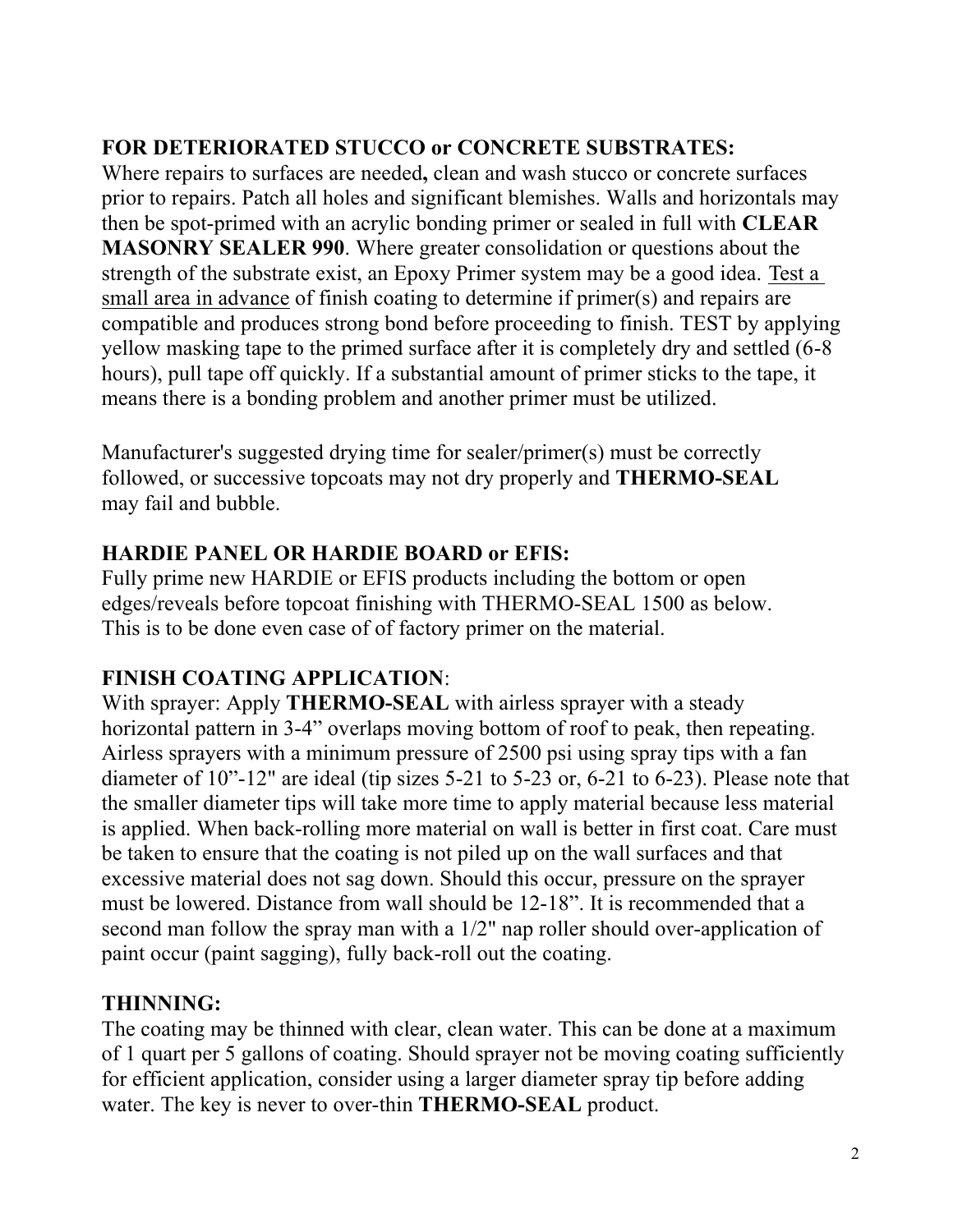# **FOR DETERIORATED STUCCO or CONCRETE SUBSTRATES:**

Where repairs to surfaces are needed**,** clean and wash stucco or concrete surfaces prior to repairs. Patch all holes and significant blemishes. Walls and horizontals may then be spot-primed with an acrylic bonding primer or sealed in full with **CLEAR MASONRY SEALER 990**. Where greater consolidation or questions about the strength of the substrate exist, an Epoxy Primer system may be a good idea. Test a small area in advance of finish coating to determine if primer(s) and repairs are compatible and produces strong bond before proceeding to finish. TEST by applying yellow masking tape to the primed surface after it is completely dry and settled (6-8 hours), pull tape off quickly. If a substantial amount of primer sticks to the tape, it means there is a bonding problem and another primer must be utilized.

Manufacturer's suggested drying time for sealer/primer(s) must be correctly followed, or successive topcoats may not dry properly and **THERMO-SEAL**  may fail and bubble.

### **HARDIE PANEL OR HARDIE BOARD or EFIS:**

Fully prime new HARDIE or EFIS products including the bottom or open edges/reveals before topcoat finishing with THERMO-SEAL 1500 as below. This is to be done even case of of factory primer on the material.

# **FINISH COATING APPLICATION**:

With sprayer: Apply **THERMO-SEAL** with airless sprayer with a steady horizontal pattern in 3-4" overlaps moving bottom of roof to peak, then repeating. Airless sprayers with a minimum pressure of 2500 psi using spray tips with a fan diameter of 10"-12" are ideal (tip sizes 5-21 to 5-23 or, 6-21 to 6-23). Please note that the smaller diameter tips will take more time to apply material because less material is applied. When back-rolling more material on wall is better in first coat. Care must be taken to ensure that the coating is not piled up on the wall surfaces and that excessive material does not sag down. Should this occur, pressure on the sprayer must be lowered. Distance from wall should be 12-18". It is recommended that a second man follow the spray man with a 1/2" nap roller should over-application of paint occur (paint sagging), fully back-roll out the coating.

# **THINNING:**

The coating may be thinned with clear, clean water. This can be done at a maximum of 1 quart per 5 gallons of coating. Should sprayer not be moving coating sufficiently for efficient application, consider using a larger diameter spray tip before adding water. The key is never to over-thin **THERMO-SEAL** product.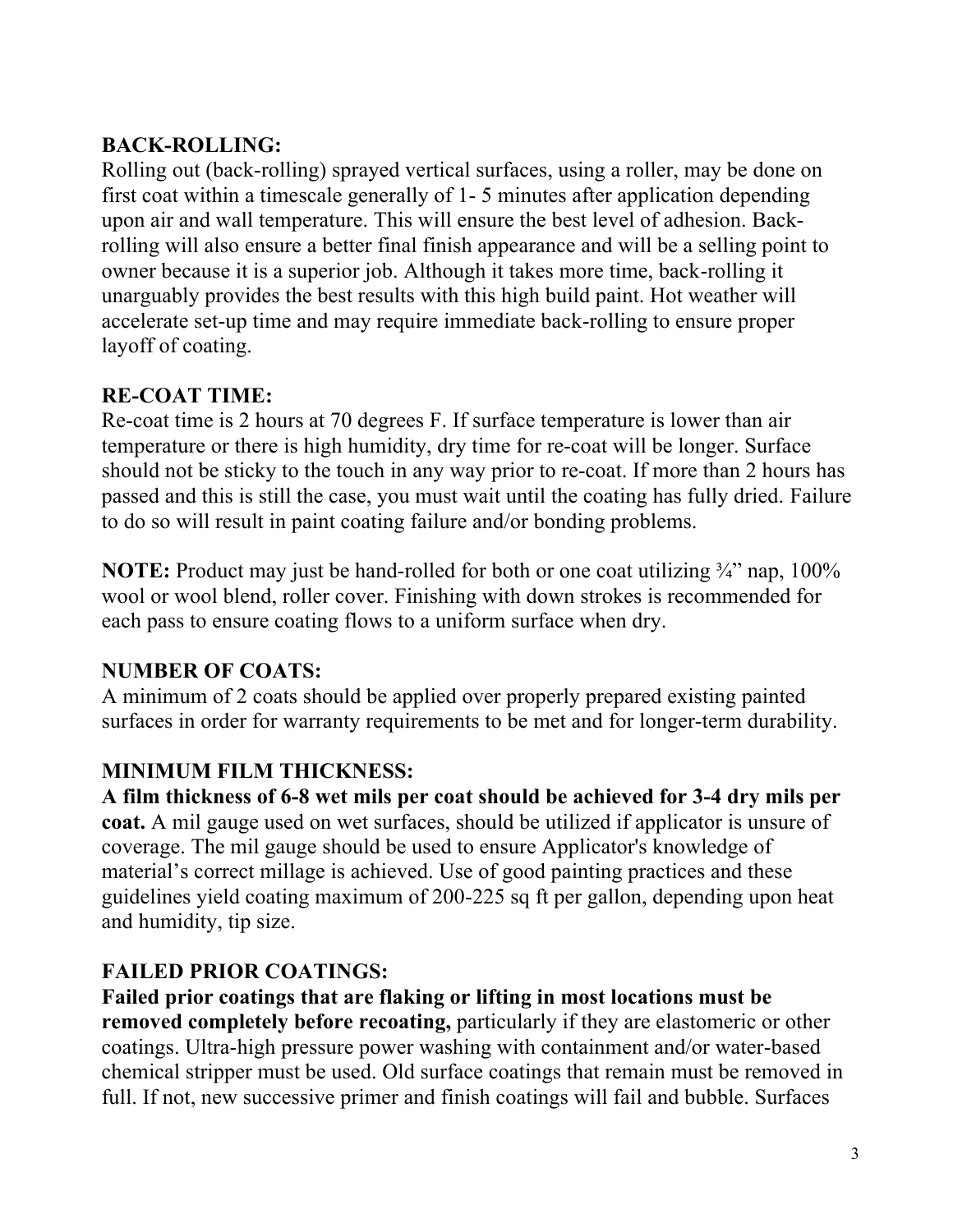# **BACK-ROLLING:**

Rolling out (back-rolling) sprayed vertical surfaces, using a roller, may be done on first coat within a timescale generally of 1- 5 minutes after application depending upon air and wall temperature. This will ensure the best level of adhesion. Backrolling will also ensure a better final finish appearance and will be a selling point to owner because it is a superior job. Although it takes more time, back-rolling it unarguably provides the best results with this high build paint. Hot weather will accelerate set-up time and may require immediate back-rolling to ensure proper layoff of coating.

# **RE-COAT TIME:**

Re-coat time is 2 hours at 70 degrees F. If surface temperature is lower than air temperature or there is high humidity, dry time for re-coat will be longer. Surface should not be sticky to the touch in any way prior to re-coat. If more than 2 hours has passed and this is still the case, you must wait until the coating has fully dried. Failure to do so will result in paint coating failure and/or bonding problems.

**NOTE:** Product may just be hand-rolled for both or one coat utilizing <sup>3</sup>/4" nap, 100% wool or wool blend, roller cover. Finishing with down strokes is recommended for each pass to ensure coating flows to a uniform surface when dry.

# **NUMBER OF COATS:**

A minimum of 2 coats should be applied over properly prepared existing painted surfaces in order for warranty requirements to be met and for longer-term durability.

# **MINIMUM FILM THICKNESS:**

**A film thickness of 6-8 wet mils per coat should be achieved for 3-4 dry mils per coat.** A mil gauge used on wet surfaces, should be utilized if applicator is unsure of coverage. The mil gauge should be used to ensure Applicator's knowledge of material's correct millage is achieved. Use of good painting practices and these guidelines yield coating maximum of 200-225 sq ft per gallon, depending upon heat and humidity, tip size.

# **FAILED PRIOR COATINGS:**

**Failed prior coatings that are flaking or lifting in most locations must be removed completely before recoating,** particularly if they are elastomeric or other coatings. Ultra-high pressure power washing with containment and/or water-based chemical stripper must be used. Old surface coatings that remain must be removed in full. If not, new successive primer and finish coatings will fail and bubble. Surfaces